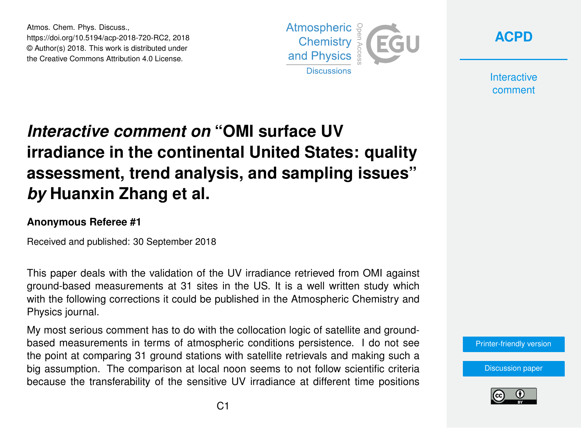Atmos. Chem. Phys. Discuss., https://doi.org/10.5194/acp-2018-720-RC2, 2018 © Author(s) 2018. This work is distributed under the Creative Commons Attribution 4.0 License.





**Interactive** comment

## *Interactive comment on* **"OMI surface UV irradiance in the continental United States: quality assessment, trend analysis, and sampling issues"** *by* **Huanxin Zhang et al.**

## **Anonymous Referee #1**

Received and published: 30 September 2018

This paper deals with the validation of the UV irradiance retrieved from OMI against ground-based measurements at 31 sites in the US. It is a well written study which with the following corrections it could be published in the Atmospheric Chemistry and Physics journal.

My most serious comment has to do with the collocation logic of satellite and groundbased measurements in terms of atmospheric conditions persistence. I do not see the point at comparing 31 ground stations with satellite retrievals and making such a big assumption. The comparison at local noon seems to not follow scientific criteria because the transferability of the sensitive UV irradiance at different time positions

[Printer-friendly version](https://www.atmos-chem-phys-discuss.net/acp-2018-720/acp-2018-720-RC2-print.pdf)

[Discussion paper](https://www.atmos-chem-phys-discuss.net/acp-2018-720)

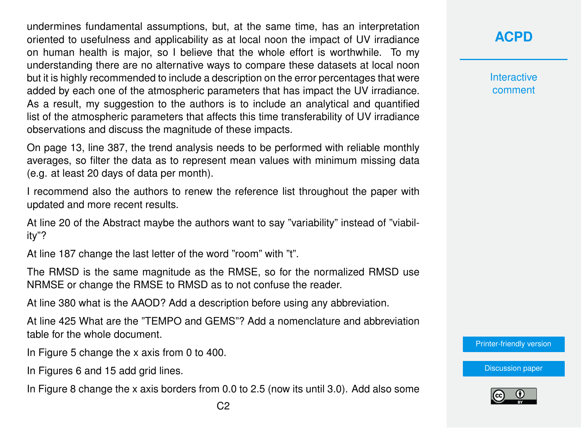undermines fundamental assumptions, but, at the same time, has an interpretation oriented to usefulness and applicability as at local noon the impact of UV irradiance on human health is major, so I believe that the whole effort is worthwhile. To my understanding there are no alternative ways to compare these datasets at local noon but it is highly recommended to include a description on the error percentages that were added by each one of the atmospheric parameters that has impact the UV irradiance. As a result, my suggestion to the authors is to include an analytical and quantified list of the atmospheric parameters that affects this time transferability of UV irradiance observations and discuss the magnitude of these impacts.

On page 13, line 387, the trend analysis needs to be performed with reliable monthly averages, so filter the data as to represent mean values with minimum missing data (e.g. at least 20 days of data per month).

I recommend also the authors to renew the reference list throughout the paper with updated and more recent results.

At line 20 of the Abstract maybe the authors want to say "variability" instead of "viability"?

At line 187 change the last letter of the word "room" with "t".

The RMSD is the same magnitude as the RMSE, so for the normalized RMSD use NRMSE or change the RMSE to RMSD as to not confuse the reader.

At line 380 what is the AAOD? Add a description before using any abbreviation.

At line 425 What are the "TEMPO and GEMS"? Add a nomenclature and abbreviation table for the whole document.

In Figure 5 change the x axis from 0 to 400.

In Figures 6 and 15 add grid lines.

In Figure 8 change the x axis borders from 0.0 to 2.5 (now its until 3.0). Add also some

## **[ACPD](https://www.atmos-chem-phys-discuss.net/)**

**Interactive** comment

[Printer-friendly version](https://www.atmos-chem-phys-discuss.net/acp-2018-720/acp-2018-720-RC2-print.pdf)

[Discussion paper](https://www.atmos-chem-phys-discuss.net/acp-2018-720)